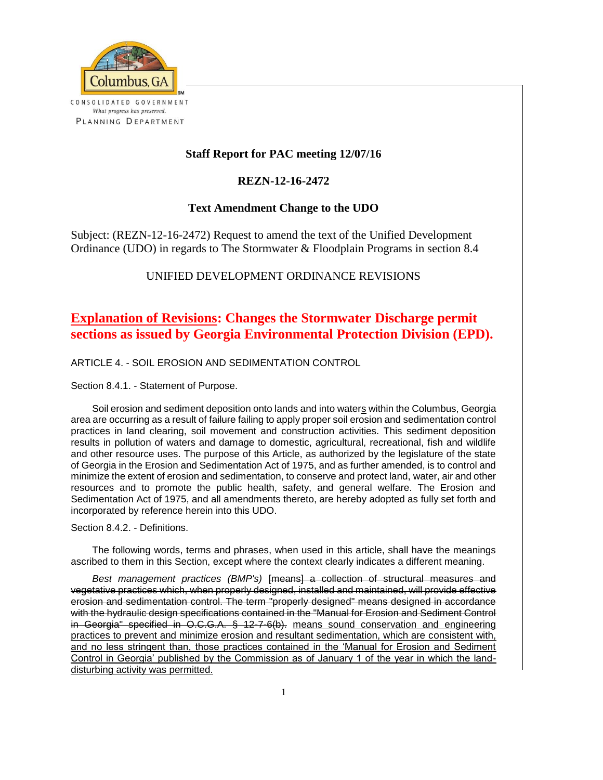

## **Staff Report for PAC meeting 12/07/16**

### **REZN-12-16-2472**

### **Text Amendment Change to the UDO**

Subject: (REZN-12-16-2472) Request to amend the text of the Unified Development Ordinance (UDO) in regards to The Stormwater & Floodplain Programs in section 8.4

# UNIFIED DEVELOPMENT ORDINANCE REVISIONS

# **Explanation of Revisions: Changes the Stormwater Discharge permit sections as issued by Georgia Environmental Protection Division (EPD).**

ARTICLE 4. - SOIL EROSION AND SEDIMENTATION CONTROL

Section 8.4.1. - Statement of Purpose.

Soil erosion and sediment deposition onto lands and into waters within the Columbus, Georgia area are occurring as a result of failure failing to apply proper soil erosion and sedimentation control practices in land clearing, soil movement and construction activities. This sediment deposition results in pollution of waters and damage to domestic, agricultural, recreational, fish and wildlife and other resource uses. The purpose of this Article, as authorized by the legislature of the state of Georgia in the Erosion and Sedimentation Act of 1975, and as further amended, is to control and minimize the extent of erosion and sedimentation, to conserve and protect land, water, air and other resources and to promote the public health, safety, and general welfare. The Erosion and Sedimentation Act of 1975, and all amendments thereto, are hereby adopted as fully set forth and incorporated by reference herein into this UDO.

Section 8.4.2. - Definitions.

The following words, terms and phrases, when used in this article, shall have the meanings ascribed to them in this Section, except where the context clearly indicates a different meaning.

*Best management practices (BMP's)* [means] a collection of structural measures and vegetative practices which, when properly designed, installed and maintained, will provide effective erosion and sedimentation control. The term "properly designed" means designed in accordance with the hydraulic design specifications contained in the "Manual for Erosion and Sediment Control in Georgia" specified in O.C.G.A. § 12-7-6(b). means sound conservation and engineering practices to prevent and minimize erosion and resultant sedimentation, which are consistent with, and no less stringent than, those practices contained in the 'Manual for Erosion and Sediment Control in Georgia' published by the Commission as of January 1 of the year in which the landdisturbing activity was permitted.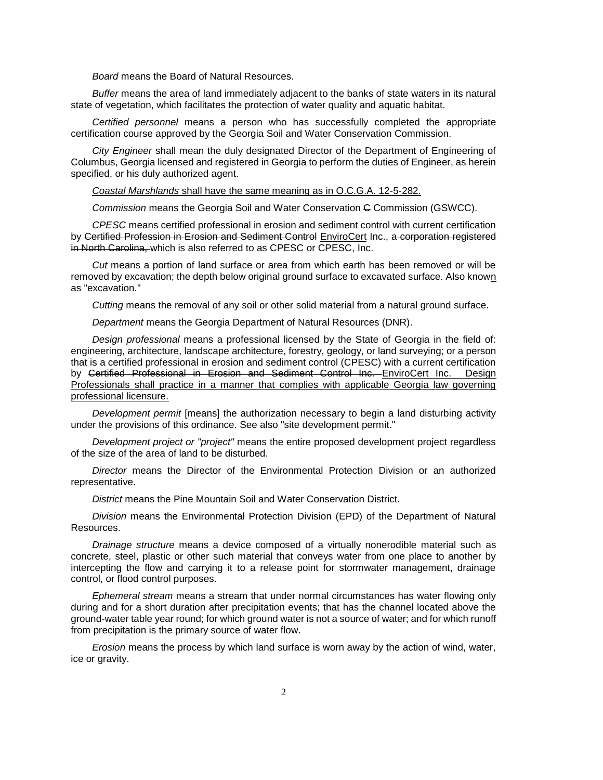*Board* means the Board of Natural Resources.

*Buffer* means the area of land immediately adjacent to the banks of state waters in its natural state of vegetation, which facilitates the protection of water quality and aquatic habitat.

*Certified personnel* means a person who has successfully completed the appropriate certification course approved by the Georgia Soil and Water Conservation Commission.

*City Engineer* shall mean the duly designated Director of the Department of Engineering of Columbus, Georgia licensed and registered in Georgia to perform the duties of Engineer, as herein specified, or his duly authorized agent.

*Coastal Marshlands* shall have the same meaning as in O.C.G.A. 12-5-282.

*Commission* means the Georgia Soil and Water Conservation C Commission (GSWCC).

*CPESC* means certified professional in erosion and sediment control with current certification by Certified Profession in Erosion and Sediment Control EnviroCert Inc., a corporation registered in North Carolina, which is also referred to as CPESC or CPESC, Inc.

*Cut* means a portion of land surface or area from which earth has been removed or will be removed by excavation; the depth below original ground surface to excavated surface. Also known as "excavation."

*Cutting* means the removal of any soil or other solid material from a natural ground surface.

*Department* means the Georgia Department of Natural Resources (DNR).

*Design professional* means a professional licensed by the State of Georgia in the field of: engineering, architecture, landscape architecture, forestry, geology, or land surveying; or a person that is a certified professional in erosion and sediment control (CPESC) with a current certification by Certified Professional in Erosion and Sediment Control Inc. EnviroCert Inc. Design Professionals shall practice in a manner that complies with applicable Georgia law governing professional licensure.

*Development permit* [means] the authorization necessary to begin a land disturbing activity under the provisions of this ordinance. See also "site development permit."

*Development project or "project"* means the entire proposed development project regardless of the size of the area of land to be disturbed.

*Director* means the Director of the Environmental Protection Division or an authorized representative.

*District* means the Pine Mountain Soil and Water Conservation District.

*Division* means the Environmental Protection Division (EPD) of the Department of Natural Resources.

*Drainage structure* means a device composed of a virtually nonerodible material such as concrete, steel, plastic or other such material that conveys water from one place to another by intercepting the flow and carrying it to a release point for stormwater management, drainage control, or flood control purposes.

*Ephemeral stream* means a stream that under normal circumstances has water flowing only during and for a short duration after precipitation events; that has the channel located above the ground-water table year round; for which ground water is not a source of water; and for which runoff from precipitation is the primary source of water flow.

*Erosion* means the process by which land surface is worn away by the action of wind, water, ice or gravity.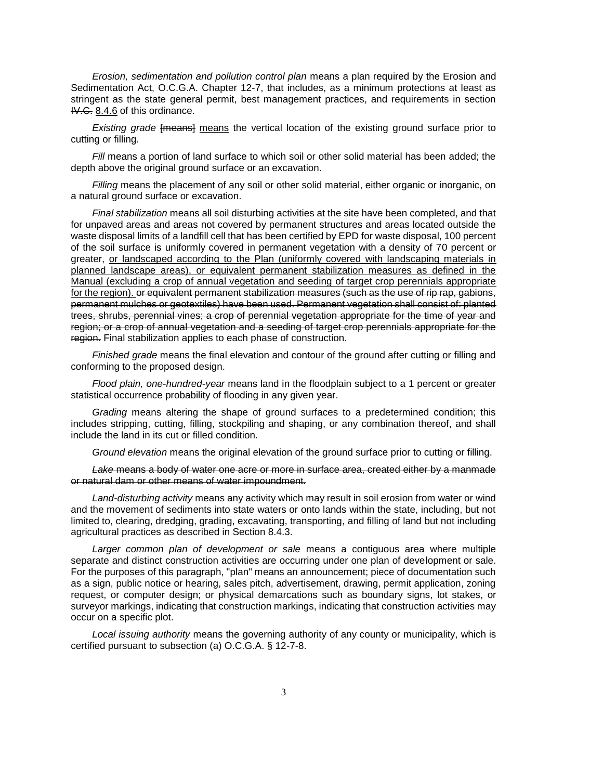*Erosion, sedimentation and pollution control plan* means a plan required by the Erosion and Sedimentation Act, O.C.G.A. Chapter 12-7, that includes, as a minimum protections at least as stringent as the state general permit, best management practices, and requirements in section IV.C. 8.4.6 of this ordinance.

*Existing grade* [means] means the vertical location of the existing ground surface prior to cutting or filling.

*Fill* means a portion of land surface to which soil or other solid material has been added; the depth above the original ground surface or an excavation.

*Filling* means the placement of any soil or other solid material, either organic or inorganic, on a natural ground surface or excavation.

*Final stabilization* means all soil disturbing activities at the site have been completed, and that for unpaved areas and areas not covered by permanent structures and areas located outside the waste disposal limits of a landfill cell that has been certified by EPD for waste disposal, 100 percent of the soil surface is uniformly covered in permanent vegetation with a density of 70 percent or greater, or landscaped according to the Plan (uniformly covered with landscaping materials in planned landscape areas), or equivalent permanent stabilization measures as defined in the Manual (excluding a crop of annual vegetation and seeding of target crop perennials appropriate for the region). or equivalent permanent stabilization measures (such as the use of rip rap, gabions, permanent mulches or geotextiles) have been used. Permanent vegetation shall consist of: planted trees, shrubs, perennial vines; a crop of perennial vegetation appropriate for the time of year and region; or a crop of annual vegetation and a seeding of target crop perennials appropriate for the region. Final stabilization applies to each phase of construction.

*Finished grade* means the final elevation and contour of the ground after cutting or filling and conforming to the proposed design.

*Flood plain, one-hundred-year* means land in the floodplain subject to a 1 percent or greater statistical occurrence probability of flooding in any given year.

*Grading* means altering the shape of ground surfaces to a predetermined condition; this includes stripping, cutting, filling, stockpiling and shaping, or any combination thereof, and shall include the land in its cut or filled condition.

*Ground elevation* means the original elevation of the ground surface prior to cutting or filling.

*Lake* means a body of water one acre or more in surface area, created either by a manmade or natural dam or other means of water impoundment.

*Land-disturbing activity* means any activity which may result in soil erosion from water or wind and the movement of sediments into state waters or onto lands within the state, including, but not limited to, clearing, dredging, grading, excavating, transporting, and filling of land but not including agricultural practices as described in Section 8.4.3.

*Larger common plan of development or sale* means a contiguous area where multiple separate and distinct construction activities are occurring under one plan of development or sale. For the purposes of this paragraph, "plan" means an announcement; piece of documentation such as a sign, public notice or hearing, sales pitch, advertisement, drawing, permit application, zoning request, or computer design; or physical demarcations such as boundary signs, lot stakes, or surveyor markings, indicating that construction markings, indicating that construction activities may occur on a specific plot.

*Local issuing authority* means the governing authority of any county or municipality, which is certified pursuant to subsection (a) O.C.G.A. § 12-7-8.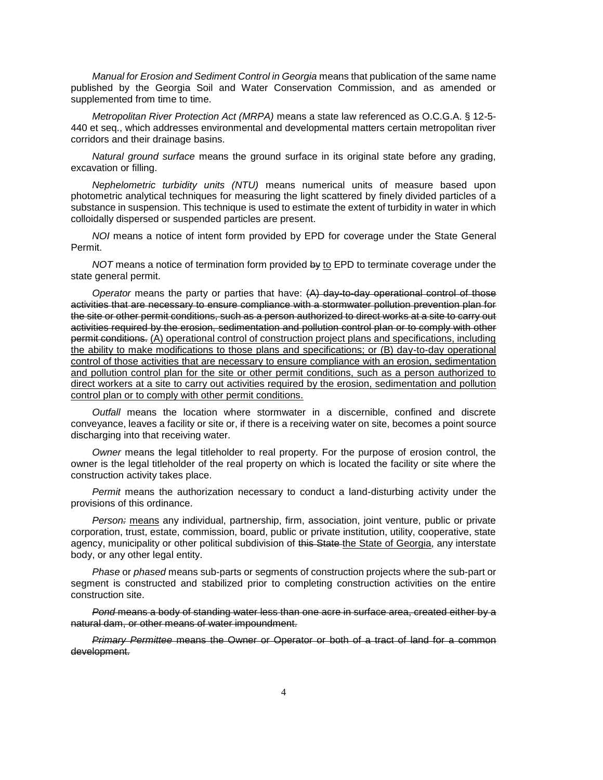*Manual for Erosion and Sediment Control in Georgia* means that publication of the same name published by the Georgia Soil and Water Conservation Commission, and as amended or supplemented from time to time.

*Metropolitan River Protection Act (MRPA)* means a state law referenced as O.C.G.A. § 12-5- 440 et seq., which addresses environmental and developmental matters certain metropolitan river corridors and their drainage basins.

*Natural ground surface* means the ground surface in its original state before any grading, excavation or filling.

*Nephelometric turbidity units (NTU)* means numerical units of measure based upon photometric analytical techniques for measuring the light scattered by finely divided particles of a substance in suspension. This technique is used to estimate the extent of turbidity in water in which colloidally dispersed or suspended particles are present.

*NOI* means a notice of intent form provided by EPD for coverage under the State General Permit.

*NOT* means a notice of termination form provided by to EPD to terminate coverage under the state general permit.

*Operator* means the party or parties that have: (A) day-to-day operational control of those activities that are necessary to ensure compliance with a stormwater pollution prevention plan for the site or other permit conditions, such as a person authorized to direct works at a site to carry out activities required by the erosion, sedimentation and pollution control plan or to comply with other permit conditions. (A) operational control of construction project plans and specifications, including the ability to make modifications to those plans and specifications; or (B) day-to-day operational control of those activities that are necessary to ensure compliance with an erosion, sedimentation and pollution control plan for the site or other permit conditions, such as a person authorized to direct workers at a site to carry out activities required by the erosion, sedimentation and pollution control plan or to comply with other permit conditions.

*Outfall* means the location where stormwater in a discernible, confined and discrete conveyance, leaves a facility or site or, if there is a receiving water on site, becomes a point source discharging into that receiving water.

*Owner* means the legal titleholder to real property. For the purpose of erosion control, the owner is the legal titleholder of the real property on which is located the facility or site where the construction activity takes place.

*Permit* means the authorization necessary to conduct a land-disturbing activity under the provisions of this ordinance.

*Person:* means any individual, partnership, firm, association, joint venture, public or private corporation, trust, estate, commission, board, public or private institution, utility, cooperative, state agency, municipality or other political subdivision of this State the State of Georgia, any interstate body, or any other legal entity.

*Phase* or *phased* means sub-parts or segments of construction projects where the sub-part or segment is constructed and stabilized prior to completing construction activities on the entire construction site.

*Pond* means a body of standing water less than one acre in surface area, created either by a natural dam, or other means of water impoundment.

*Primary Permittee* means the Owner or Operator or both of a tract of land for a common development.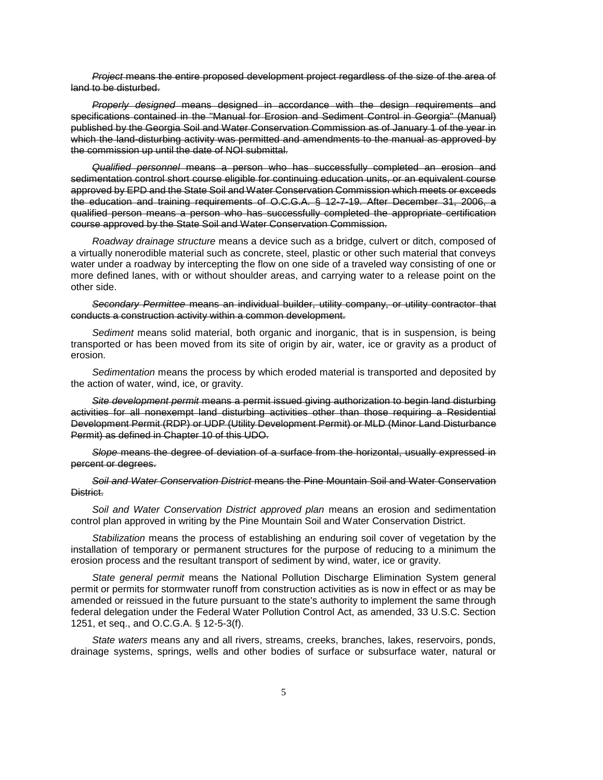*Project* means the entire proposed development project regardless of the size of the area of land to be disturbed.

*Properly designed* means designed in accordance with the design requirements and specifications contained in the "Manual for Erosion and Sediment Control in Georgia" (Manual) published by the Georgia Soil and Water Conservation Commission as of January 1 of the year in which the land-disturbing activity was permitted and amendments to the manual as approved by the commission up until the date of NOI submittal.

*Qualified personnel* means a person who has successfully completed an erosion and sedimentation control short course eligible for continuing education units, or an equivalent course approved by EPD and the State Soil and Water Conservation Commission which meets or exceeds the education and training requirements of O.C.G.A. § 12-7-19. After December 31, 2006, a qualified person means a person who has successfully completed the appropriate certification course approved by the State Soil and Water Conservation Commission.

*Roadway drainage structure* means a device such as a bridge, culvert or ditch, composed of a virtually nonerodible material such as concrete, steel, plastic or other such material that conveys water under a roadway by intercepting the flow on one side of a traveled way consisting of one or more defined lanes, with or without shoulder areas, and carrying water to a release point on the other side.

*Secondary Permittee* means an individual builder, utility company, or utility contractor that conducts a construction activity within a common development.

*Sediment* means solid material, both organic and inorganic, that is in suspension, is being transported or has been moved from its site of origin by air, water, ice or gravity as a product of erosion.

*Sedimentation* means the process by which eroded material is transported and deposited by the action of water, wind, ice, or gravity.

*Site development permit* means a permit issued giving authorization to begin land disturbing activities for all nonexempt land disturbing activities other than those requiring a Residential Development Permit (RDP) or UDP (Utility Development Permit) or MLD (Minor Land Disturbance Permit) as defined in Chapter 10 of this UDO.

*Slope* means the degree of deviation of a surface from the horizontal, usually expressed in percent or degrees.

*Soil and Water Conservation District* means the Pine Mountain Soil and Water Conservation District.

*Soil and Water Conservation District approved plan* means an erosion and sedimentation control plan approved in writing by the Pine Mountain Soil and Water Conservation District.

*Stabilization* means the process of establishing an enduring soil cover of vegetation by the installation of temporary or permanent structures for the purpose of reducing to a minimum the erosion process and the resultant transport of sediment by wind, water, ice or gravity.

*State general permit* means the National Pollution Discharge Elimination System general permit or permits for stormwater runoff from construction activities as is now in effect or as may be amended or reissued in the future pursuant to the state's authority to implement the same through federal delegation under the Federal Water Pollution Control Act, as amended, 33 U.S.C. Section 1251, et seq., and O.C.G.A. § 12-5-3(f).

*State waters* means any and all rivers, streams, creeks, branches, lakes, reservoirs, ponds, drainage systems, springs, wells and other bodies of surface or subsurface water, natural or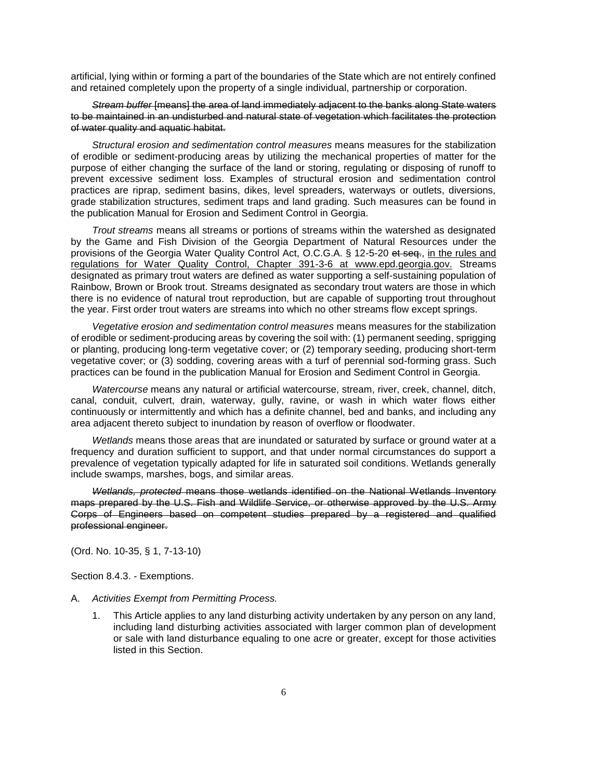artificial, lying within or forming a part of the boundaries of the State which are not entirely confined and retained completely upon the property of a single individual, partnership or corporation.

#### *Stream buffer* [means] the area of land immediately adjacent to the banks along State waters to be maintained in an undisturbed and natural state of vegetation which facilitates the protection of water quality and aquatic habitat.

*Structural erosion and sedimentation control measures* means measures for the stabilization of erodible or sediment-producing areas by utilizing the mechanical properties of matter for the purpose of either changing the surface of the land or storing, regulating or disposing of runoff to prevent excessive sediment loss. Examples of structural erosion and sedimentation control practices are riprap, sediment basins, dikes, level spreaders, waterways or outlets, diversions, grade stabilization structures, sediment traps and land grading. Such measures can be found in the publication Manual for Erosion and Sediment Control in Georgia.

*Trout streams* means all streams or portions of streams within the watershed as designated by the Game and Fish Division of the Georgia Department of Natural Resources under the provisions of the Georgia Water Quality Control Act, O.C.G.A. § 12-5-20 et seq., in the rules and regulations for Water Quality Control, Chapter 391-3-6 at www.epd.georgia.gov. Streams designated as primary trout waters are defined as water supporting a self-sustaining population of Rainbow, Brown or Brook trout. Streams designated as secondary trout waters are those in which there is no evidence of natural trout reproduction, but are capable of supporting trout throughout the year. First order trout waters are streams into which no other streams flow except springs.

*Vegetative erosion and sedimentation control measures* means measures for the stabilization of erodible or sediment-producing areas by covering the soil with: (1) permanent seeding, sprigging or planting, producing long-term vegetative cover; or (2) temporary seeding, producing short-term vegetative cover; or (3) sodding, covering areas with a turf of perennial sod-forming grass. Such practices can be found in the publication Manual for Erosion and Sediment Control in Georgia.

*Watercourse* means any natural or artificial watercourse, stream, river, creek, channel, ditch, canal, conduit, culvert, drain, waterway, gully, ravine, or wash in which water flows either continuously or intermittently and which has a definite channel, bed and banks, and including any area adjacent thereto subject to inundation by reason of overflow or floodwater.

*Wetlands* means those areas that are inundated or saturated by surface or ground water at a frequency and duration sufficient to support, and that under normal circumstances do support a prevalence of vegetation typically adapted for life in saturated soil conditions. Wetlands generally include swamps, marshes, bogs, and similar areas.

*Wetlands, protected* means those wetlands identified on the National Wetlands Inventory maps prepared by the U.S. Fish and Wildlife Service, or otherwise approved by the U.S. Army Corps of Engineers based on competent studies prepared by a registered and qualified professional engineer.

(Ord. No. 10-35, § 1, 7-13-10)

Section 8.4.3. - Exemptions.

- A. *Activities Exempt from Permitting Process.*
	- 1. This Article applies to any land disturbing activity undertaken by any person on any land, including land disturbing activities associated with larger common plan of development or sale with land disturbance equaling to one acre or greater, except for those activities listed in this Section.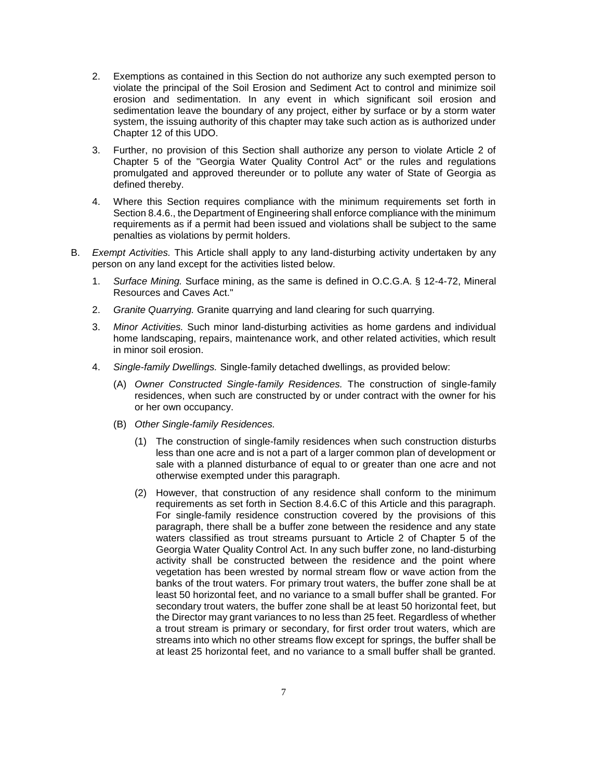- 2. Exemptions as contained in this Section do not authorize any such exempted person to violate the principal of the Soil Erosion and Sediment Act to control and minimize soil erosion and sedimentation. In any event in which significant soil erosion and sedimentation leave the boundary of any project, either by surface or by a storm water system, the issuing authority of this chapter may take such action as is authorized under Chapter 12 of this UDO.
- 3. Further, no provision of this Section shall authorize any person to violate Article 2 of Chapter 5 of the "Georgia Water Quality Control Act" or the rules and regulations promulgated and approved thereunder or to pollute any water of State of Georgia as defined thereby.
- 4. Where this Section requires compliance with the minimum requirements set forth in Section 8.4.6., the Department of Engineering shall enforce compliance with the minimum requirements as if a permit had been issued and violations shall be subject to the same penalties as violations by permit holders.
- B. *Exempt Activities.* This Article shall apply to any land-disturbing activity undertaken by any person on any land except for the activities listed below.
	- 1. *Surface Mining.* Surface mining, as the same is defined in O.C.G.A. § 12-4-72, Mineral Resources and Caves Act."
	- 2. *Granite Quarrying.* Granite quarrying and land clearing for such quarrying.
	- 3. *Minor Activities.* Such minor land-disturbing activities as home gardens and individual home landscaping, repairs, maintenance work, and other related activities, which result in minor soil erosion.
	- 4. *Single-family Dwellings.* Single-family detached dwellings, as provided below:
		- (A) *Owner Constructed Single-family Residences.* The construction of single-family residences, when such are constructed by or under contract with the owner for his or her own occupancy.
		- (B) *Other Single-family Residences.*
			- (1) The construction of single-family residences when such construction disturbs less than one acre and is not a part of a larger common plan of development or sale with a planned disturbance of equal to or greater than one acre and not otherwise exempted under this paragraph.
			- (2) However, that construction of any residence shall conform to the minimum requirements as set forth in Section 8.4.6.C of this Article and this paragraph. For single-family residence construction covered by the provisions of this paragraph, there shall be a buffer zone between the residence and any state waters classified as trout streams pursuant to Article 2 of Chapter 5 of the Georgia Water Quality Control Act. In any such buffer zone, no land-disturbing activity shall be constructed between the residence and the point where vegetation has been wrested by normal stream flow or wave action from the banks of the trout waters. For primary trout waters, the buffer zone shall be at least 50 horizontal feet, and no variance to a small buffer shall be granted. For secondary trout waters, the buffer zone shall be at least 50 horizontal feet, but the Director may grant variances to no less than 25 feet. Regardless of whether a trout stream is primary or secondary, for first order trout waters, which are streams into which no other streams flow except for springs, the buffer shall be at least 25 horizontal feet, and no variance to a small buffer shall be granted.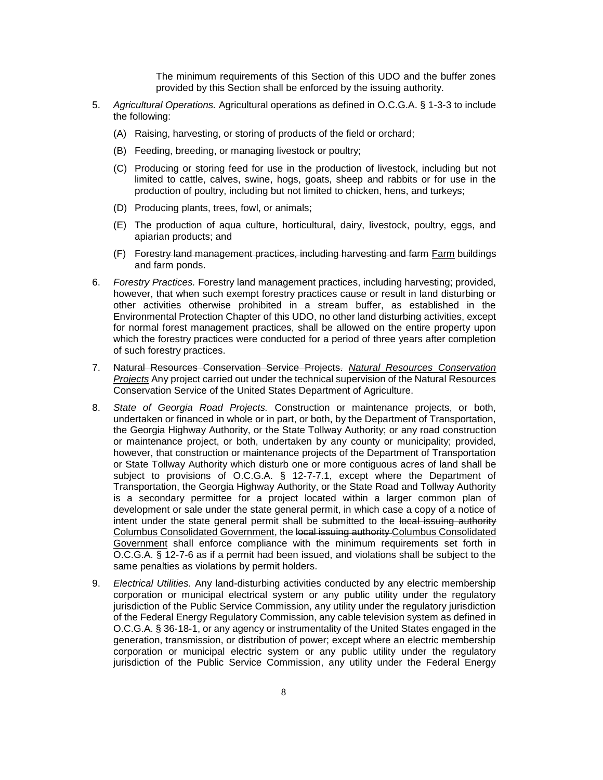The minimum requirements of this Section of this UDO and the buffer zones provided by this Section shall be enforced by the issuing authority.

- 5. *Agricultural Operations.* Agricultural operations as defined in O.C.G.A. § 1-3-3 to include the following:
	- (A) Raising, harvesting, or storing of products of the field or orchard;
	- (B) Feeding, breeding, or managing livestock or poultry;
	- (C) Producing or storing feed for use in the production of livestock, including but not limited to cattle, calves, swine, hogs, goats, sheep and rabbits or for use in the production of poultry, including but not limited to chicken, hens, and turkeys;
	- (D) Producing plants, trees, fowl, or animals;
	- (E) The production of aqua culture, horticultural, dairy, livestock, poultry, eggs, and apiarian products; and
	- (F) Forestry land management practices, including harvesting and farm Farm buildings and farm ponds.
- 6. *Forestry Practices.* Forestry land management practices, including harvesting; provided, however, that when such exempt forestry practices cause or result in land disturbing or other activities otherwise prohibited in a stream buffer, as established in the Environmental Protection Chapter of this UDO, no other land disturbing activities, except for normal forest management practices, shall be allowed on the entire property upon which the forestry practices were conducted for a period of three years after completion of such forestry practices.
- 7. Natural Resources Conservation Service Projects. *Natural Resources Conservation Projects* Any project carried out under the technical supervision of the Natural Resources Conservation Service of the United States Department of Agriculture.
- 8. *State of Georgia Road Projects.* Construction or maintenance projects, or both, undertaken or financed in whole or in part, or both, by the Department of Transportation, the Georgia Highway Authority, or the State Tollway Authority; or any road construction or maintenance project, or both, undertaken by any county or municipality; provided, however, that construction or maintenance projects of the Department of Transportation or State Tollway Authority which disturb one or more contiguous acres of land shall be subject to provisions of O.C.G.A. § 12-7-7.1, except where the Department of Transportation, the Georgia Highway Authority, or the State Road and Tollway Authority is a secondary permittee for a project located within a larger common plan of development or sale under the state general permit, in which case a copy of a notice of intent under the state general permit shall be submitted to the local issuing authority Columbus Consolidated Government, the local issuing authority Columbus Consolidated Government shall enforce compliance with the minimum requirements set forth in O.C.G.A. § 12-7-6 as if a permit had been issued, and violations shall be subject to the same penalties as violations by permit holders.
- 9. *Electrical Utilities.* Any land-disturbing activities conducted by any electric membership corporation or municipal electrical system or any public utility under the regulatory jurisdiction of the Public Service Commission, any utility under the regulatory jurisdiction of the Federal Energy Regulatory Commission, any cable television system as defined in O.C.G.A. § 36-18-1, or any agency or instrumentality of the United States engaged in the generation, transmission, or distribution of power; except where an electric membership corporation or municipal electric system or any public utility under the regulatory jurisdiction of the Public Service Commission, any utility under the Federal Energy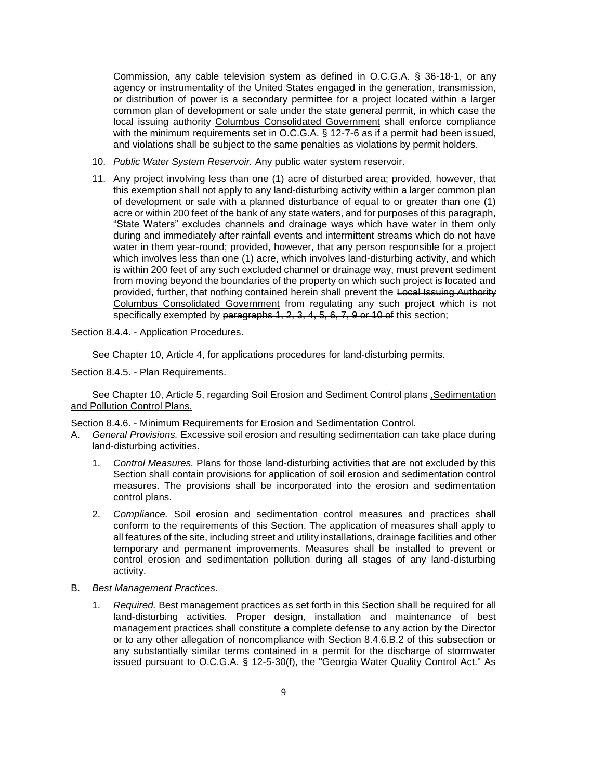Commission, any cable television system as defined in O.C.G.A. § 36-18-1, or any agency or instrumentality of the United States engaged in the generation, transmission, or distribution of power is a secondary permittee for a project located within a larger common plan of development or sale under the state general permit, in which case the local issuing authority Columbus Consolidated Government shall enforce compliance with the minimum requirements set in O.C.G.A. § 12-7-6 as if a permit had been issued, and violations shall be subject to the same penalties as violations by permit holders.

- 10. *Public Water System Reservoir.* Any public water system reservoir.
- 11. Any project involving less than one (1) acre of disturbed area; provided, however, that this exemption shall not apply to any land-disturbing activity within a larger common plan of development or sale with a planned disturbance of equal to or greater than one (1) acre or within 200 feet of the bank of any state waters, and for purposes of this paragraph, "State Waters" excludes channels and drainage ways which have water in them only during and immediately after rainfall events and intermittent streams which do not have water in them year-round; provided, however, that any person responsible for a project which involves less than one (1) acre, which involves land-disturbing activity, and which is within 200 feet of any such excluded channel or drainage way, must prevent sediment from moving beyond the boundaries of the property on which such project is located and provided, further, that nothing contained herein shall prevent the Local Issuing Authority Columbus Consolidated Government from regulating any such project which is not specifically exempted by paragraphs 1, 2, 3, 4, 5, 6, 7, 9 or 10 of this section;

Section 8.4.4. - Application Procedures.

See Chapter 10, Article 4, for applications procedures for land-disturbing permits.

Section 8.4.5. - Plan Requirements.

See Chapter 10, Article 5, regarding Soil Erosion and Sediment Control plans, Sedimentation and Pollution Control Plans.

Section 8.4.6. - Minimum Requirements for Erosion and Sedimentation Control.

- A. *General Provisions.* Excessive soil erosion and resulting sedimentation can take place during land-disturbing activities.
	- 1. *Control Measures.* Plans for those land-disturbing activities that are not excluded by this Section shall contain provisions for application of soil erosion and sedimentation control measures. The provisions shall be incorporated into the erosion and sedimentation control plans.
	- 2. *Compliance.* Soil erosion and sedimentation control measures and practices shall conform to the requirements of this Section. The application of measures shall apply to all features of the site, including street and utility installations, drainage facilities and other temporary and permanent improvements. Measures shall be installed to prevent or control erosion and sedimentation pollution during all stages of any land-disturbing activity.
- B. *Best Management Practices.*
	- 1. *Required.* Best management practices as set forth in this Section shall be required for all land-disturbing activities. Proper design, installation and maintenance of best management practices shall constitute a complete defense to any action by the Director or to any other allegation of noncompliance with Section 8.4.6.B.2 of this subsection or any substantially similar terms contained in a permit for the discharge of stormwater issued pursuant to O.C.G.A. § 12-5-30(f), the "Georgia Water Quality Control Act." As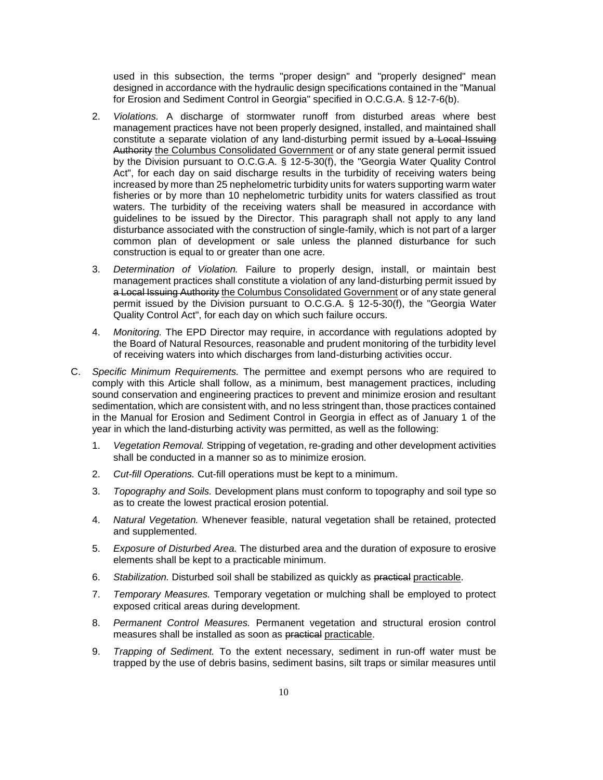used in this subsection, the terms "proper design" and "properly designed" mean designed in accordance with the hydraulic design specifications contained in the "Manual for Erosion and Sediment Control in Georgia" specified in O.C.G.A. § 12-7-6(b).

- 2. *Violations.* A discharge of stormwater runoff from disturbed areas where best management practices have not been properly designed, installed, and maintained shall constitute a separate violation of any land-disturbing permit issued by a Local Issuing Authority the Columbus Consolidated Government or of any state general permit issued by the Division pursuant to O.C.G.A. § 12-5-30(f), the "Georgia Water Quality Control Act", for each day on said discharge results in the turbidity of receiving waters being increased by more than 25 nephelometric turbidity units for waters supporting warm water fisheries or by more than 10 nephelometric turbidity units for waters classified as trout waters. The turbidity of the receiving waters shall be measured in accordance with guidelines to be issued by the Director. This paragraph shall not apply to any land disturbance associated with the construction of single-family, which is not part of a larger common plan of development or sale unless the planned disturbance for such construction is equal to or greater than one acre.
- 3. *Determination of Violation.* Failure to properly design, install, or maintain best management practices shall constitute a violation of any land-disturbing permit issued by a Local Issuing Authority the Columbus Consolidated Government or of any state general permit issued by the Division pursuant to O.C.G.A. § 12-5-30(f), the "Georgia Water Quality Control Act", for each day on which such failure occurs.
- 4. *Monitoring.* The EPD Director may require, in accordance with regulations adopted by the Board of Natural Resources, reasonable and prudent monitoring of the turbidity level of receiving waters into which discharges from land-disturbing activities occur.
- C. *Specific Minimum Requirements.* The permittee and exempt persons who are required to comply with this Article shall follow, as a minimum, best management practices, including sound conservation and engineering practices to prevent and minimize erosion and resultant sedimentation, which are consistent with, and no less stringent than, those practices contained in the Manual for Erosion and Sediment Control in Georgia in effect as of January 1 of the year in which the land-disturbing activity was permitted, as well as the following:
	- 1. *Vegetation Removal.* Stripping of vegetation, re-grading and other development activities shall be conducted in a manner so as to minimize erosion.
	- 2. *Cut-fill Operations.* Cut-fill operations must be kept to a minimum.
	- 3. *Topography and Soils.* Development plans must conform to topography and soil type so as to create the lowest practical erosion potential.
	- 4. *Natural Vegetation.* Whenever feasible, natural vegetation shall be retained, protected and supplemented.
	- 5. *Exposure of Disturbed Area.* The disturbed area and the duration of exposure to erosive elements shall be kept to a practicable minimum.
	- 6. *Stabilization.* Disturbed soil shall be stabilized as quickly as practical practicable.
	- 7. *Temporary Measures.* Temporary vegetation or mulching shall be employed to protect exposed critical areas during development.
	- 8. *Permanent Control Measures.* Permanent vegetation and structural erosion control measures shall be installed as soon as practical practicable.
	- 9. *Trapping of Sediment.* To the extent necessary, sediment in run-off water must be trapped by the use of debris basins, sediment basins, silt traps or similar measures until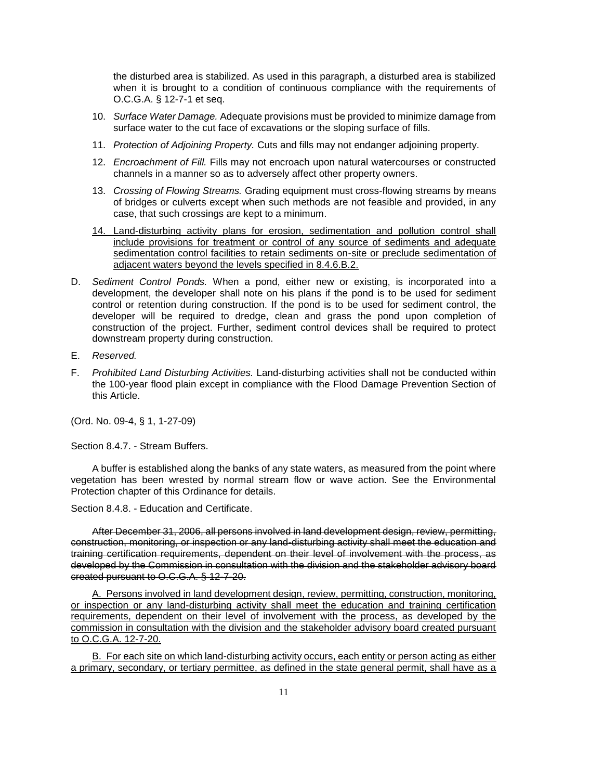the disturbed area is stabilized. As used in this paragraph, a disturbed area is stabilized when it is brought to a condition of continuous compliance with the requirements of O.C.G.A. § 12-7-1 et seq.

- 10. *Surface Water Damage.* Adequate provisions must be provided to minimize damage from surface water to the cut face of excavations or the sloping surface of fills.
- 11. *Protection of Adjoining Property.* Cuts and fills may not endanger adjoining property.
- 12. *Encroachment of Fill.* Fills may not encroach upon natural watercourses or constructed channels in a manner so as to adversely affect other property owners.
- 13. *Crossing of Flowing Streams.* Grading equipment must cross-flowing streams by means of bridges or culverts except when such methods are not feasible and provided, in any case, that such crossings are kept to a minimum.
- 14. Land-disturbing activity plans for erosion, sedimentation and pollution control shall include provisions for treatment or control of any source of sediments and adequate sedimentation control facilities to retain sediments on-site or preclude sedimentation of adjacent waters beyond the levels specified in 8.4.6.B.2.
- D. *Sediment Control Ponds.* When a pond, either new or existing, is incorporated into a development, the developer shall note on his plans if the pond is to be used for sediment control or retention during construction. If the pond is to be used for sediment control, the developer will be required to dredge, clean and grass the pond upon completion of construction of the project. Further, sediment control devices shall be required to protect downstream property during construction.
- E. *Reserved.*
- F. *Prohibited Land Disturbing Activities.* Land-disturbing activities shall not be conducted within the 100-year flood plain except in compliance with the Flood Damage Prevention Section of this Article.

(Ord. No. 09-4, § 1, 1-27-09)

Section 8.4.7. - Stream Buffers.

A buffer is established along the banks of any state waters, as measured from the point where vegetation has been wrested by normal stream flow or wave action. See the Environmental Protection chapter of this Ordinance for details.

Section 8.4.8. - Education and Certificate.

After December 31, 2006, all persons involved in land development design, review, permitting, construction, monitoring, or inspection or any land-disturbing activity shall meet the education and training certification requirements, dependent on their level of involvement with the process, as developed by the Commission in consultation with the division and the stakeholder advisory board created pursuant to O.C.G.A. § 12-7-20.

A. Persons involved in land development design, review, permitting, construction, monitoring, or inspection or any land-disturbing activity shall meet the education and training certification requirements, dependent on their level of involvement with the process, as developed by the commission in consultation with the division and the stakeholder advisory board created pursuant to O.C.G.A. 12-7-20.

B. For each site on which land-disturbing activity occurs, each entity or person acting as either a primary, secondary, or tertiary permittee, as defined in the state general permit, shall have as a